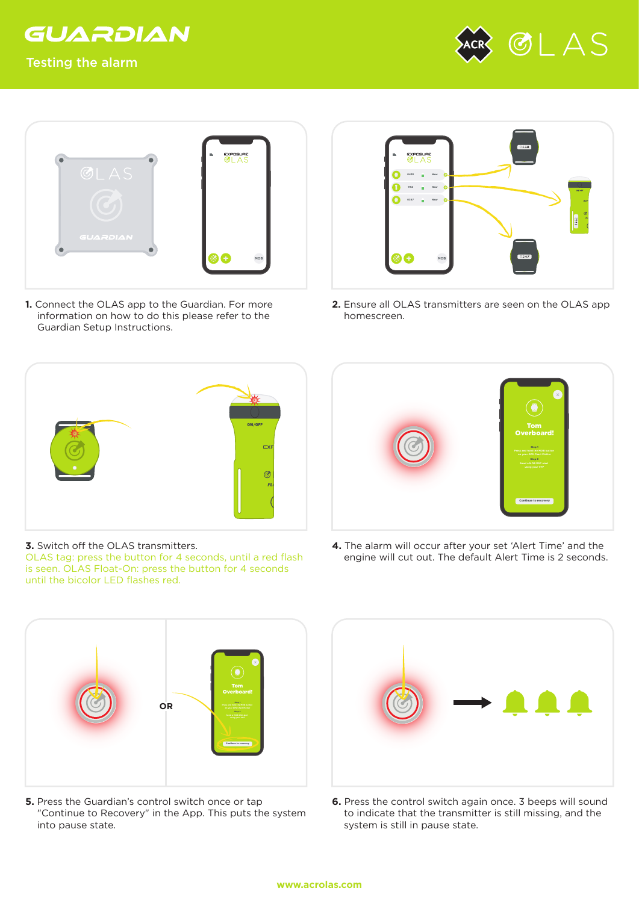

## Testing the alarm





**1.** Connect the OLAS app to the Guardian. For more information on how to do this please refer to the Guardian Setup Instructions.



**2.** Ensure all OLAS transmitters are seen on the OLAS app homescreen.



**3.** Switch off the OLAS transmitters.

OLAS tag: press the button for 4 seconds, until a red flash is seen. OLAS Float-On: press the button for 4 seconds until the bicolor LED flashes red.



**4.** The alarm will occur after your set 'Alert Time' and the engine will cut out. The default Alert Time is 2 seconds.



**5.** Press the Guardian's control switch once or tap "Continue to Recovery" in the App. This puts the system into pause state.



**6.** Press the control switch again once. 3 beeps will sound to indicate that the transmitter is still missing, and the system is still in pause state.